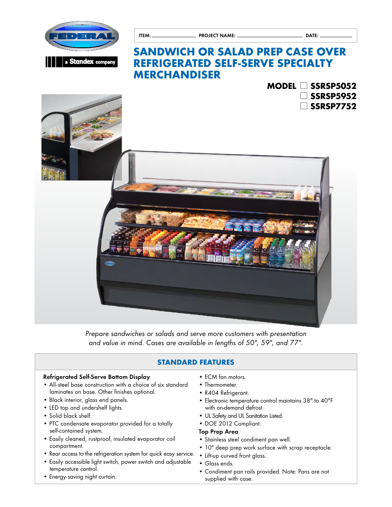

ITEM: PROJECT NAME: DATE:

# **Sandwich or Salad PREP Case over Refrigerated Self-Serve Specialty Merchandiser**



*Prepare sandwiches or salads and serve more customers with presentation and value in mind. Cases are available in lengths of 50", 59", and 77".*

# **STANDARD FEATURES**

### Refrigerated Self-Serve Bottom Display

- All-steel base construction with a choice of six standard laminates on base. Other finishes optional.
- Black interior, glass end panels.
- LED top and undershelf lights.
- Solid black shelf.
- PTC condensate evaporator provided for a totally self-contained system.
- Easily cleaned, rustproof, insulated evaporator coil compartment.
- Rear access to the refrigeration system for quick easy service.
- Easily accessible light switch, power switch and adjustable temperature control.
- Energy-saving night curtain.
- ECM fan motors.
	- Thermometer.
- R404 Refrigerant.
- Electronic temperature control maintains 38° to 40°F with on-demand defrost.
- UL Safety and UL Sanitation Listed.
- DOE 2012 Compliant.

#### Top Prep Area

- Stainless steel condiment pan well.
- 10" deep prep work surface with scrap receptacle.
- Lift-up curved front glass.
- Glass ends.
- Condiment pan rails provided. Note: Pans are not supplied with case.